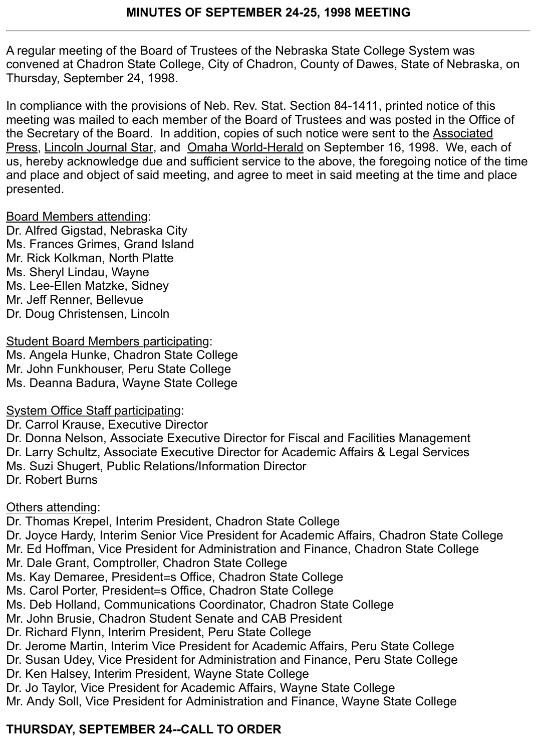A regular meeting of the Board of Trustees of the Nebraska State College System was convened at Chadron State College, City of Chadron, County of Dawes, State of Nebraska, on Thursday, September 24, 1998.

In compliance with the provisions of Neb. Rev. Stat. Section 84-1411, printed notice of this meeting was mailed to each member of the Board of Trustees and was posted in the Office of the Secretary of the Board. In addition, copies of such notice were sent to the Associated Press, Lincoln Journal Star, and Omaha World-Herald on September 16, 1998. We, each of us, hereby acknowledge due and sufficient service to the above, the foregoing notice of the time and place and object of said meeting, and agree to meet in said meeting at the time and place presented.

#### Board Members attending:

Dr. Alfred Gigstad, Nebraska City Ms. Frances Grimes, Grand Island Mr. Rick Kolkman, North Platte Ms. Sheryl Lindau, Wayne Ms. Lee-Ellen Matzke, Sidney Mr. Jeff Renner, Bellevue Dr. Doug Christensen, Lincoln

Student Board Members participating: Ms. Angela Hunke, Chadron State College Mr. John Funkhouser, Peru State College Ms. Deanna Badura, Wayne State College

System Office Staff participating:

Dr. Carrol Krause, Executive Director

Dr. Donna Nelson, Associate Executive Director for Fiscal and Facilities Management Dr. Larry Schultz, Associate Executive Director for Academic Affairs & Legal Services Ms. Suzi Shugert, Public Relations/Information Director Dr. Robert Burns

### Others attending:

Dr. Thomas Krepel, Interim President, Chadron State College Dr. Joyce Hardy, Interim Senior Vice President for Academic Affairs, Chadron State College Mr. Ed Hoffman, Vice President for Administration and Finance, Chadron State College Mr. Dale Grant, Comptroller, Chadron State College

- Ms. Kay Demaree, President=s Office, Chadron State College
- Ms. Carol Porter, President=s Office, Chadron State College
- Ms. Deb Holland, Communications Coordinator, Chadron State College
- Mr. John Brusie, Chadron Student Senate and CAB President
- Dr. Richard Flynn, Interim President, Peru State College
- Dr. Jerome Martin, Interim Vice President for Academic Affairs, Peru State College
- Dr. Susan Udey, Vice President for Administration and Finance, Peru State College
- Dr. Ken Halsey, Interim President, Wayne State College
- Dr. Jo Taylor, Vice President for Academic Affairs, Wayne State College

Mr. Andy Soll, Vice President for Administration and Finance, Wayne State College

# **THURSDAY, SEPTEMBER 24--CALL TO ORDER**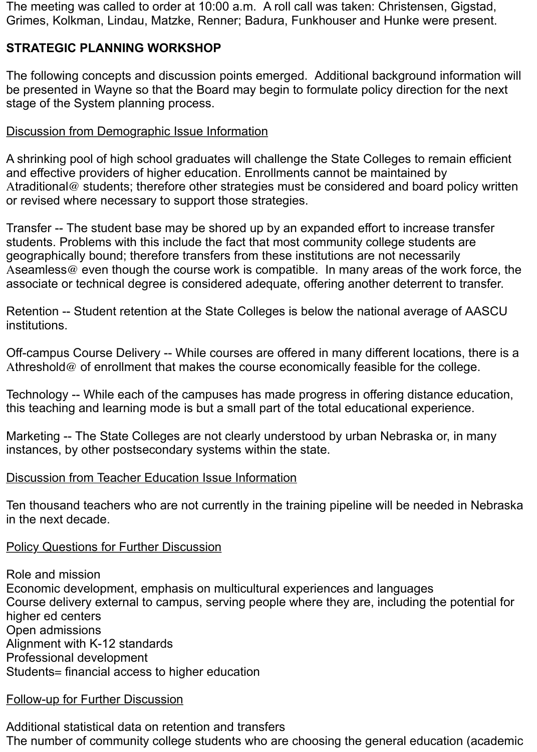The meeting was called to order at 10:00 a.m. A roll call was taken: Christensen, Gigstad, Grimes, Kolkman, Lindau, Matzke, Renner; Badura, Funkhouser and Hunke were present.

### **STRATEGIC PLANNING WORKSHOP**

The following concepts and discussion points emerged. Additional background information will be presented in Wayne so that the Board may begin to formulate policy direction for the next stage of the System planning process.

#### Discussion from Demographic Issue Information

A shrinking pool of high school graduates will challenge the State Colleges to remain efficient and effective providers of higher education. Enrollments cannot be maintained by Atraditional@ students; therefore other strategies must be considered and board policy written or revised where necessary to support those strategies.

Transfer -- The student base may be shored up by an expanded effort to increase transfer students. Problems with this include the fact that most community college students are geographically bound; therefore transfers from these institutions are not necessarily Aseamless@ even though the course work is compatible. In many areas of the work force, the associate or technical degree is considered adequate, offering another deterrent to transfer.

Retention -- Student retention at the State Colleges is below the national average of AASCU institutions.

Off-campus Course Delivery -- While courses are offered in many different locations, there is a Athreshold@ of enrollment that makes the course economically feasible for the college.

Technology -- While each of the campuses has made progress in offering distance education, this teaching and learning mode is but a small part of the total educational experience.

Marketing -- The State Colleges are not clearly understood by urban Nebraska or, in many instances, by other postsecondary systems within the state.

#### Discussion from Teacher Education Issue Information

Ten thousand teachers who are not currently in the training pipeline will be needed in Nebraska in the next decade.

#### Policy Questions for Further Discussion

Role and mission Economic development, emphasis on multicultural experiences and languages Course delivery external to campus, serving people where they are, including the potential for higher ed centers Open admissions Alignment with K-12 standards Professional development Students= financial access to higher education

#### Follow-up for Further Discussion

Additional statistical data on retention and transfers The number of community college students who are choosing the general education (academic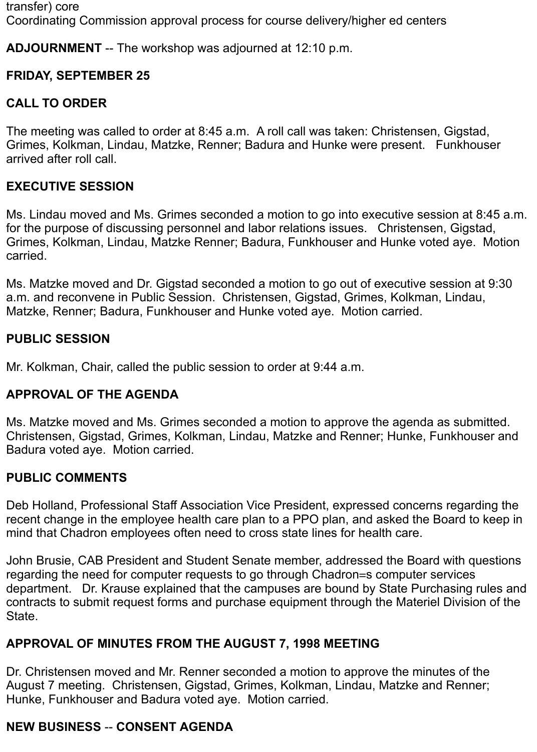transfer) core Coordinating Commission approval process for course delivery/higher ed centers

**ADJOURNMENT** -- The workshop was adjourned at 12:10 p.m.

## **FRIDAY, SEPTEMBER 25**

## **CALL TO ORDER**

The meeting was called to order at 8:45 a.m. A roll call was taken: Christensen, Gigstad, Grimes, Kolkman, Lindau, Matzke, Renner; Badura and Hunke were present. Funkhouser arrived after roll call.

## **EXECUTIVE SESSION**

Ms. Lindau moved and Ms. Grimes seconded a motion to go into executive session at 8:45 a.m. for the purpose of discussing personnel and labor relations issues. Christensen, Gigstad, Grimes, Kolkman, Lindau, Matzke Renner; Badura, Funkhouser and Hunke voted aye. Motion carried.

Ms. Matzke moved and Dr. Gigstad seconded a motion to go out of executive session at 9:30 a.m. and reconvene in Public Session. Christensen, Gigstad, Grimes, Kolkman, Lindau, Matzke, Renner; Badura, Funkhouser and Hunke voted aye. Motion carried.

## **PUBLIC SESSION**

Mr. Kolkman, Chair, called the public session to order at 9:44 a.m.

### **APPROVAL OF THE AGENDA**

Ms. Matzke moved and Ms. Grimes seconded a motion to approve the agenda as submitted. Christensen, Gigstad, Grimes, Kolkman, Lindau, Matzke and Renner; Hunke, Funkhouser and Badura voted aye. Motion carried.

### **PUBLIC COMMENTS**

Deb Holland, Professional Staff Association Vice President, expressed concerns regarding the recent change in the employee health care plan to a PPO plan, and asked the Board to keep in mind that Chadron employees often need to cross state lines for health care.

John Brusie, CAB President and Student Senate member, addressed the Board with questions regarding the need for computer requests to go through Chadron=s computer services department. Dr. Krause explained that the campuses are bound by State Purchasing rules and contracts to submit request forms and purchase equipment through the Materiel Division of the State.

## **APPROVAL OF MINUTES FROM THE AUGUST 7, 1998 MEETING**

Dr. Christensen moved and Mr. Renner seconded a motion to approve the minutes of the August 7 meeting. Christensen, Gigstad, Grimes, Kolkman, Lindau, Matzke and Renner; Hunke, Funkhouser and Badura voted aye. Motion carried.

## **NEW BUSINESS** -- **CONSENT AGENDA**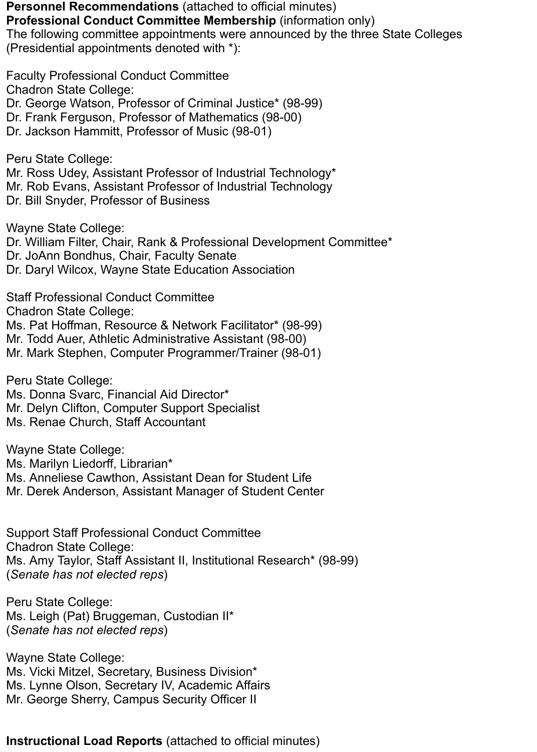**Personnel Recommendations** (attached to official minutes) **Professional Conduct Committee Membership** (information only) The following committee appointments were announced by the three State Colleges

(Presidential appointments denoted with \*):

Faculty Professional Conduct Committee Chadron State College: Dr. George Watson, Professor of Criminal Justice\* (98-99) Dr. Frank Ferguson, Professor of Mathematics (98-00) Dr. Jackson Hammitt, Professor of Music (98-01)

Peru State College: Mr. Ross Udey, Assistant Professor of Industrial Technology\* Mr. Rob Evans, Assistant Professor of Industrial Technology Dr. Bill Snyder, Professor of Business

Wayne State College: Dr. William Filter, Chair, Rank & Professional Development Committee\* Dr. JoAnn Bondhus, Chair, Faculty Senate Dr. Daryl Wilcox, Wayne State Education Association

Staff Professional Conduct Committee Chadron State College: Ms. Pat Hoffman, Resource & Network Facilitator\* (98-99) Mr. Todd Auer, Athletic Administrative Assistant (98-00) Mr. Mark Stephen, Computer Programmer/Trainer (98-01)

Peru State College: Ms. Donna Svarc, Financial Aid Director\* Mr. Delyn Clifton, Computer Support Specialist Ms. Renae Church, Staff Accountant

Wayne State College: Ms. Marilyn Liedorff, Librarian\* Ms. Anneliese Cawthon, Assistant Dean for Student Life Mr. Derek Anderson, Assistant Manager of Student Center

Support Staff Professional Conduct Committee Chadron State College: Ms. Amy Taylor, Staff Assistant II, Institutional Research\* (98-99) (*Senate has not elected reps*)

Peru State College: Ms. Leigh (Pat) Bruggeman, Custodian II\* (*Senate has not elected reps*)

Wayne State College: Ms. Vicki Mitzel, Secretary, Business Division\* Ms. Lynne Olson, Secretary IV, Academic Affairs Mr. George Sherry, Campus Security Officer II

#### **Instructional Load Reports** (attached to official minutes)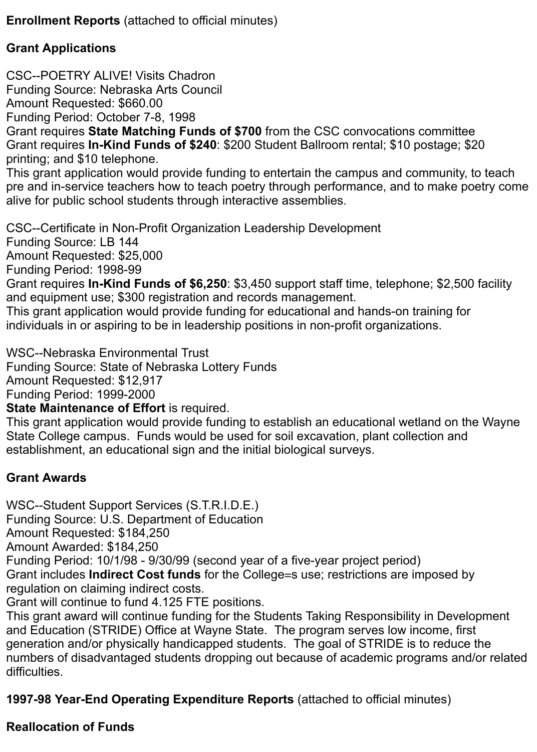**Enrollment Reports** (attached to official minutes)

## **Grant Applications**

CSC--POETRY ALIVE! Visits Chadron Funding Source: Nebraska Arts Council

Amount Requested: \$660.00

Funding Period: October 7-8, 1998

Grant requires **State Matching Funds of \$700** from the CSC convocations committee Grant requires **In-Kind Funds of \$240**: \$200 Student Ballroom rental; \$10 postage; \$20 printing; and \$10 telephone.

This grant application would provide funding to entertain the campus and community, to teach pre and in-service teachers how to teach poetry through performance, and to make poetry come alive for public school students through interactive assemblies.

CSC--Certificate in Non-Profit Organization Leadership Development

Funding Source: LB 144

Amount Requested: \$25,000

Funding Period: 1998-99

Grant requires **In-Kind Funds of \$6,250**: \$3,450 support staff time, telephone; \$2,500 facility and equipment use; \$300 registration and records management.

This grant application would provide funding for educational and hands-on training for individuals in or aspiring to be in leadership positions in non-profit organizations.

WSC--Nebraska Environmental Trust

Funding Source: State of Nebraska Lottery Funds

Amount Requested: \$12,917

Funding Period: 1999-2000

**State Maintenance of Effort** is required.

This grant application would provide funding to establish an educational wetland on the Wayne State College campus. Funds would be used for soil excavation, plant collection and establishment, an educational sign and the initial biological surveys.

## **Grant Awards**

WSC--Student Support Services (S.T.R.I.D.E.)

Funding Source: U.S. Department of Education

Amount Requested: \$184,250

Amount Awarded: \$184,250

Funding Period: 10/1/98 - 9/30/99 (second year of a five-year project period)

Grant includes **Indirect Cost funds** for the College=s use; restrictions are imposed by regulation on claiming indirect costs.

Grant will continue to fund 4.125 FTE positions.

This grant award will continue funding for the Students Taking Responsibility in Development and Education (STRIDE) Office at Wayne State. The program serves low income, first generation and/or physically handicapped students. The goal of STRIDE is to reduce the numbers of disadvantaged students dropping out because of academic programs and/or related difficulties.

**1997-98 Year-End Operating Expenditure Reports** (attached to official minutes)

### **Reallocation of Funds**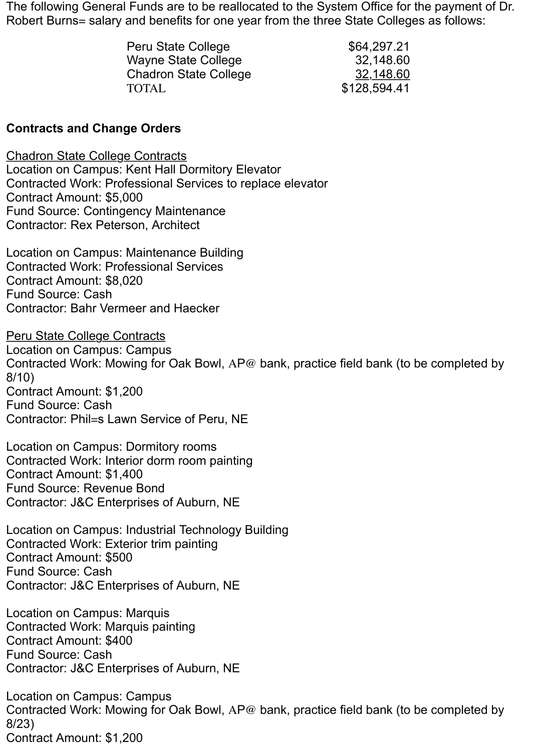The following General Funds are to be reallocated to the System Office for the payment of Dr. Robert Burns= salary and benefits for one year from the three State Colleges as follows:

| Peru State College           | \$64,297.21  |
|------------------------------|--------------|
| <b>Wayne State College</b>   | 32,148.60    |
| <b>Chadron State College</b> | 32,148.60    |
| <b>TOTAL</b>                 | \$128,594.41 |

#### **Contracts and Change Orders**

Chadron State College Contracts Location on Campus: Kent Hall Dormitory Elevator Contracted Work: Professional Services to replace elevator Contract Amount: \$5,000 Fund Source: Contingency Maintenance Contractor: Rex Peterson, Architect

Location on Campus: Maintenance Building Contracted Work: Professional Services Contract Amount: \$8,020 Fund Source: Cash Contractor: Bahr Vermeer and Haecker

Peru State College Contracts Location on Campus: Campus Contracted Work: Mowing for Oak Bowl, AP@ bank, practice field bank (to be completed by 8/10) Contract Amount: \$1,200 Fund Source: Cash Contractor: Phil=s Lawn Service of Peru, NE

Location on Campus: Dormitory rooms Contracted Work: Interior dorm room painting Contract Amount: \$1,400 Fund Source: Revenue Bond Contractor: J&C Enterprises of Auburn, NE

Location on Campus: Industrial Technology Building Contracted Work: Exterior trim painting Contract Amount: \$500 Fund Source: Cash Contractor: J&C Enterprises of Auburn, NE

Location on Campus: Marquis Contracted Work: Marquis painting Contract Amount: \$400 Fund Source: Cash Contractor: J&C Enterprises of Auburn, NE

Location on Campus: Campus Contracted Work: Mowing for Oak Bowl, AP@ bank, practice field bank (to be completed by 8/23) Contract Amount: \$1,200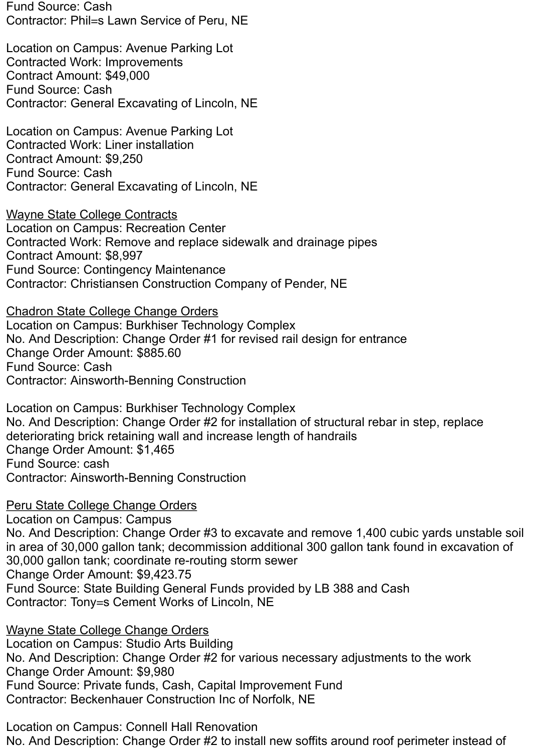Fund Source: Cash Contractor: Phil=s Lawn Service of Peru, NE

Location on Campus: Avenue Parking Lot Contracted Work: Improvements Contract Amount: \$49,000 Fund Source: Cash Contractor: General Excavating of Lincoln, NE

Location on Campus: Avenue Parking Lot Contracted Work: Liner installation Contract Amount: \$9,250 Fund Source: Cash Contractor: General Excavating of Lincoln, NE

Wayne State College Contracts Location on Campus: Recreation Center Contracted Work: Remove and replace sidewalk and drainage pipes Contract Amount: \$8,997 Fund Source: Contingency Maintenance Contractor: Christiansen Construction Company of Pender, NE

Chadron State College Change Orders Location on Campus: Burkhiser Technology Complex No. And Description: Change Order #1 for revised rail design for entrance Change Order Amount: \$885.60 Fund Source: Cash Contractor: Ainsworth-Benning Construction

Location on Campus: Burkhiser Technology Complex No. And Description: Change Order #2 for installation of structural rebar in step, replace deteriorating brick retaining wall and increase length of handrails Change Order Amount: \$1,465 Fund Source: cash Contractor: Ainsworth-Benning Construction

Peru State College Change Orders Location on Campus: Campus No. And Description: Change Order #3 to excavate and remove 1,400 cubic yards unstable soil in area of 30,000 gallon tank; decommission additional 300 gallon tank found in excavation of 30,000 gallon tank; coordinate re-routing storm sewer Change Order Amount: \$9,423.75 Fund Source: State Building General Funds provided by LB 388 and Cash Contractor: Tony=s Cement Works of Lincoln, NE

Wayne State College Change Orders Location on Campus: Studio Arts Building No. And Description: Change Order #2 for various necessary adjustments to the work Change Order Amount: \$9,980 Fund Source: Private funds, Cash, Capital Improvement Fund Contractor: Beckenhauer Construction Inc of Norfolk, NE

Location on Campus: Connell Hall Renovation No. And Description: Change Order #2 to install new soffits around roof perimeter instead of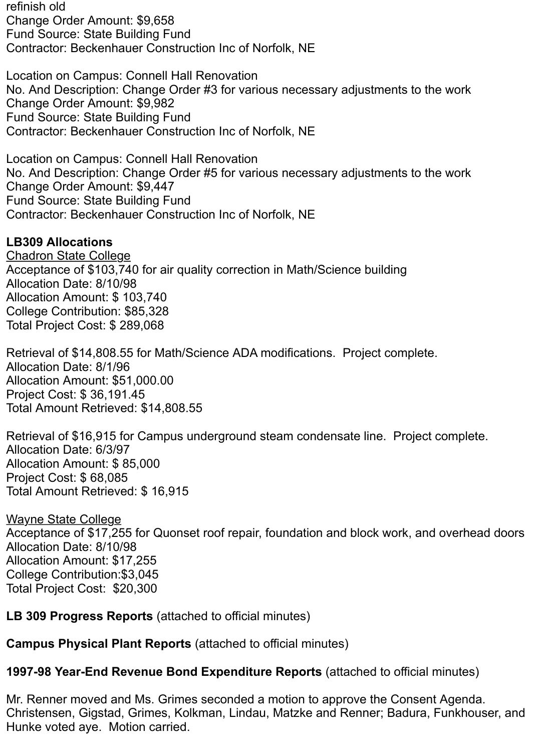refinish old Change Order Amount: \$9,658 Fund Source: State Building Fund Contractor: Beckenhauer Construction Inc of Norfolk, NE

Location on Campus: Connell Hall Renovation No. And Description: Change Order #3 for various necessary adjustments to the work Change Order Amount: \$9,982 Fund Source: State Building Fund Contractor: Beckenhauer Construction Inc of Norfolk, NE

Location on Campus: Connell Hall Renovation No. And Description: Change Order #5 for various necessary adjustments to the work Change Order Amount: \$9,447 Fund Source: State Building Fund Contractor: Beckenhauer Construction Inc of Norfolk, NE

## **LB309 Allocations**

Chadron State College Acceptance of \$103,740 for air quality correction in Math/Science building Allocation Date: 8/10/98 Allocation Amount: \$ 103,740 College Contribution: \$85,328 Total Project Cost: \$ 289,068

Retrieval of \$14,808.55 for Math/Science ADA modifications. Project complete. Allocation Date: 8/1/96 Allocation Amount: \$51,000.00 Project Cost: \$ 36,191.45 Total Amount Retrieved: \$14,808.55

Retrieval of \$16,915 for Campus underground steam condensate line. Project complete. Allocation Date: 6/3/97 Allocation Amount: \$ 85,000 Project Cost: \$ 68,085 Total Amount Retrieved: \$ 16,915

Wayne State College Acceptance of \$17,255 for Quonset roof repair, foundation and block work, and overhead doors Allocation Date: 8/10/98 Allocation Amount: \$17,255 College Contribution:\$3,045 Total Project Cost: \$20,300

**LB 309 Progress Reports** (attached to official minutes)

**Campus Physical Plant Reports** (attached to official minutes)

**1997-98 Year-End Revenue Bond Expenditure Reports** (attached to official minutes)

Mr. Renner moved and Ms. Grimes seconded a motion to approve the Consent Agenda. Christensen, Gigstad, Grimes, Kolkman, Lindau, Matzke and Renner; Badura, Funkhouser, and Hunke voted aye. Motion carried.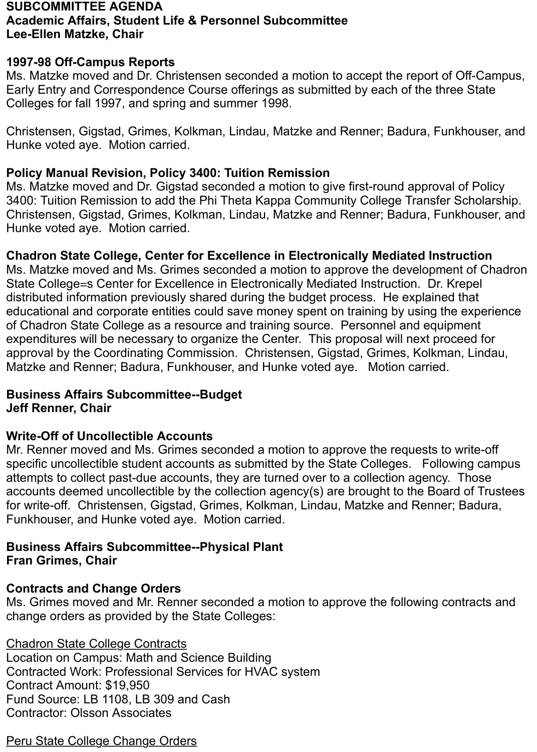#### **SUBCOMMITTEE AGENDA Academic Affairs, Student Life & Personnel Subcommittee Lee-Ellen Matzke, Chair**

#### **1997-98 Off-Campus Reports**

Ms. Matzke moved and Dr. Christensen seconded a motion to accept the report of Off-Campus, Early Entry and Correspondence Course offerings as submitted by each of the three State Colleges for fall 1997, and spring and summer 1998.

Christensen, Gigstad, Grimes, Kolkman, Lindau, Matzke and Renner; Badura, Funkhouser, and Hunke voted aye. Motion carried.

#### **Policy Manual Revision, Policy 3400: Tuition Remission**

Ms. Matzke moved and Dr. Gigstad seconded a motion to give first-round approval of Policy 3400: Tuition Remission to add the Phi Theta Kappa Community College Transfer Scholarship. Christensen, Gigstad, Grimes, Kolkman, Lindau, Matzke and Renner; Badura, Funkhouser, and Hunke voted aye. Motion carried.

#### **Chadron State College, Center for Excellence in Electronically Mediated Instruction**

Ms. Matzke moved and Ms. Grimes seconded a motion to approve the development of Chadron State College=s Center for Excellence in Electronically Mediated Instruction. Dr. Krepel distributed information previously shared during the budget process. He explained that educational and corporate entities could save money spent on training by using the experience of Chadron State College as a resource and training source. Personnel and equipment expenditures will be necessary to organize the Center. This proposal will next proceed for approval by the Coordinating Commission. Christensen, Gigstad, Grimes, Kolkman, Lindau, Matzke and Renner; Badura, Funkhouser, and Hunke voted aye. Motion carried.

#### **Business Affairs Subcommittee--Budget Jeff Renner, Chair**

#### **Write-Off of Uncollectible Accounts**

Mr. Renner moved and Ms. Grimes seconded a motion to approve the requests to write-off specific uncollectible student accounts as submitted by the State Colleges. Following campus attempts to collect past-due accounts, they are turned over to a collection agency. Those accounts deemed uncollectible by the collection agency(s) are brought to the Board of Trustees for write-off. Christensen, Gigstad, Grimes, Kolkman, Lindau, Matzke and Renner; Badura, Funkhouser, and Hunke voted aye. Motion carried.

#### **Business Affairs Subcommittee--Physical Plant Fran Grimes, Chair**

#### **Contracts and Change Orders**

Ms. Grimes moved and Mr. Renner seconded a motion to approve the following contracts and change orders as provided by the State Colleges:

Chadron State College Contracts Location on Campus: Math and Science Building Contracted Work: Professional Services for HVAC system Contract Amount: \$19,950 Fund Source: LB 1108, LB 309 and Cash Contractor: Olsson Associates

Peru State College Change Orders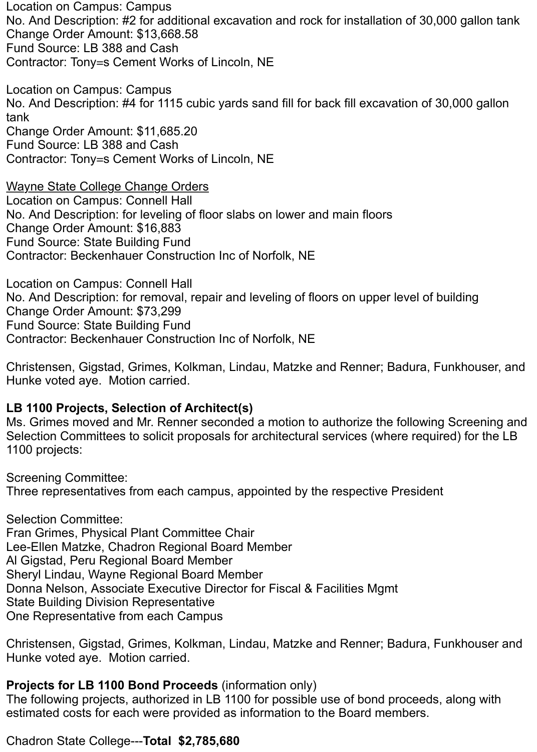Location on Campus: Campus No. And Description: #2 for additional excavation and rock for installation of 30,000 gallon tank Change Order Amount: \$13,668.58 Fund Source: LB 388 and Cash Contractor: Tony=s Cement Works of Lincoln, NE

Location on Campus: Campus No. And Description: #4 for 1115 cubic yards sand fill for back fill excavation of 30,000 gallon tank Change Order Amount: \$11,685.20 Fund Source: LB 388 and Cash Contractor: Tony=s Cement Works of Lincoln, NE

Wayne State College Change Orders Location on Campus: Connell Hall No. And Description: for leveling of floor slabs on lower and main floors Change Order Amount: \$16,883 Fund Source: State Building Fund Contractor: Beckenhauer Construction Inc of Norfolk, NE

Location on Campus: Connell Hall No. And Description: for removal, repair and leveling of floors on upper level of building Change Order Amount: \$73,299 Fund Source: State Building Fund Contractor: Beckenhauer Construction Inc of Norfolk, NE

Christensen, Gigstad, Grimes, Kolkman, Lindau, Matzke and Renner; Badura, Funkhouser, and Hunke voted aye. Motion carried.

#### **LB 1100 Projects, Selection of Architect(s)**

Ms. Grimes moved and Mr. Renner seconded a motion to authorize the following Screening and Selection Committees to solicit proposals for architectural services (where required) for the LB 1100 projects:

Screening Committee:

Three representatives from each campus, appointed by the respective President

Selection Committee: Fran Grimes, Physical Plant Committee Chair Lee-Ellen Matzke, Chadron Regional Board Member Al Gigstad, Peru Regional Board Member Sheryl Lindau, Wayne Regional Board Member Donna Nelson, Associate Executive Director for Fiscal & Facilities Mgmt State Building Division Representative One Representative from each Campus

Christensen, Gigstad, Grimes, Kolkman, Lindau, Matzke and Renner; Badura, Funkhouser and Hunke voted aye. Motion carried.

#### **Projects for LB 1100 Bond Proceeds** (information only)

The following projects, authorized in LB 1100 for possible use of bond proceeds, along with estimated costs for each were provided as information to the Board members.

#### Chadron State College---**Total \$2,785,680**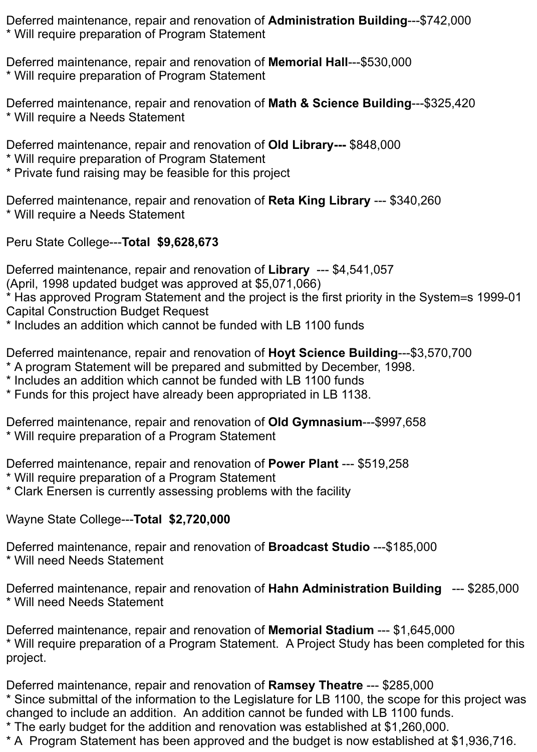Deferred maintenance, repair and renovation of **Administration Building**---\$742,000 \* Will require preparation of Program Statement

Deferred maintenance, repair and renovation of **Memorial Hall**---\$530,000 \* Will require preparation of Program Statement

Deferred maintenance, repair and renovation of **Math & Science Building**---\$325,420 \* Will require a Needs Statement

Deferred maintenance, repair and renovation of **Old Library---** \$848,000

- \* Will require preparation of Program Statement
- \* Private fund raising may be feasible for this project

Deferred maintenance, repair and renovation of **Reta King Library** --- \$340,260 \* Will require a Needs Statement

Peru State College---**Total \$9,628,673**

Deferred maintenance, repair and renovation of **Library** --- \$4,541,057

(April, 1998 updated budget was approved at \$5,071,066)

\* Has approved Program Statement and the project is the first priority in the System=s 1999-01 Capital Construction Budget Request

\* Includes an addition which cannot be funded with LB 1100 funds

Deferred maintenance, repair and renovation of **Hoyt Science Building**---\$3,570,700

- \* A program Statement will be prepared and submitted by December, 1998.
- \* Includes an addition which cannot be funded with LB 1100 funds
- \* Funds for this project have already been appropriated in LB 1138.

Deferred maintenance, repair and renovation of **Old Gymnasium**---\$997,658 \* Will require preparation of a Program Statement

Deferred maintenance, repair and renovation of **Power Plant** --- \$519,258

\* Will require preparation of a Program Statement

\* Clark Enersen is currently assessing problems with the facility

Wayne State College---**Total \$2,720,000**

Deferred maintenance, repair and renovation of **Broadcast Studio** ---\$185,000 \* Will need Needs Statement

Deferred maintenance, repair and renovation of **Hahn Administration Building** --- \$285,000 \* Will need Needs Statement

Deferred maintenance, repair and renovation of **Memorial Stadium** --- \$1,645,000 \* Will require preparation of a Program Statement. A Project Study has been completed for this project.

Deferred maintenance, repair and renovation of **Ramsey Theatre** --- \$285,000 \* Since submittal of the information to the Legislature for LB 1100, the scope for this project was changed to include an addition. An addition cannot be funded with LB 1100 funds.

\* The early budget for the addition and renovation was established at \$1,260,000.

\* A Program Statement has been approved and the budget is now established at \$1,936,716.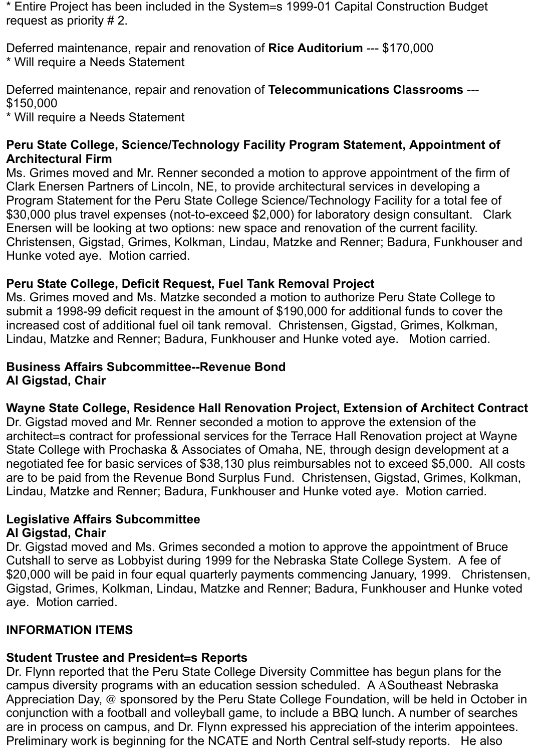\* Entire Project has been included in the System=s 1999-01 Capital Construction Budget request as priority # 2.

Deferred maintenance, repair and renovation of **Rice Auditorium** --- \$170,000 \* Will require a Needs Statement

Deferred maintenance, repair and renovation of **Telecommunications Classrooms** --- \$150,000

\* Will require a Needs Statement

#### **Peru State College, Science/Technology Facility Program Statement, Appointment of Architectural Firm**

Ms. Grimes moved and Mr. Renner seconded a motion to approve appointment of the firm of Clark Enersen Partners of Lincoln, NE, to provide architectural services in developing a Program Statement for the Peru State College Science/Technology Facility for a total fee of \$30,000 plus travel expenses (not-to-exceed \$2,000) for laboratory design consultant. Clark Enersen will be looking at two options: new space and renovation of the current facility. Christensen, Gigstad, Grimes, Kolkman, Lindau, Matzke and Renner; Badura, Funkhouser and Hunke voted aye. Motion carried.

### **Peru State College, Deficit Request, Fuel Tank Removal Project**

Ms. Grimes moved and Ms. Matzke seconded a motion to authorize Peru State College to submit a 1998-99 deficit request in the amount of \$190,000 for additional funds to cover the increased cost of additional fuel oil tank removal. Christensen, Gigstad, Grimes, Kolkman, Lindau, Matzke and Renner; Badura, Funkhouser and Hunke voted aye. Motion carried.

#### **Business Affairs Subcommittee--Revenue Bond Al Gigstad, Chair**

### **Wayne State College, Residence Hall Renovation Project, Extension of Architect Contract**

Dr. Gigstad moved and Mr. Renner seconded a motion to approve the extension of the architect=s contract for professional services for the Terrace Hall Renovation project at Wayne State College with Prochaska & Associates of Omaha, NE, through design development at a negotiated fee for basic services of \$38,130 plus reimbursables not to exceed \$5,000. All costs are to be paid from the Revenue Bond Surplus Fund. Christensen, Gigstad, Grimes, Kolkman, Lindau, Matzke and Renner; Badura, Funkhouser and Hunke voted aye. Motion carried.

#### **Legislative Affairs Subcommittee Al Gigstad, Chair**

Dr. Gigstad moved and Ms. Grimes seconded a motion to approve the appointment of Bruce Cutshall to serve as Lobbyist during 1999 for the Nebraska State College System. A fee of \$20,000 will be paid in four equal quarterly payments commencing January, 1999. Christensen, Gigstad, Grimes, Kolkman, Lindau, Matzke and Renner; Badura, Funkhouser and Hunke voted aye. Motion carried.

## **INFORMATION ITEMS**

## **Student Trustee and President=s Reports**

Dr. Flynn reported that the Peru State College Diversity Committee has begun plans for the campus diversity programs with an education session scheduled. A ASoutheast Nebraska Appreciation Day, @ sponsored by the Peru State College Foundation, will be held in October in conjunction with a football and volleyball game, to include a BBQ lunch. A number of searches are in process on campus, and Dr. Flynn expressed his appreciation of the interim appointees. Preliminary work is beginning for the NCATE and North Central self-study reports. He also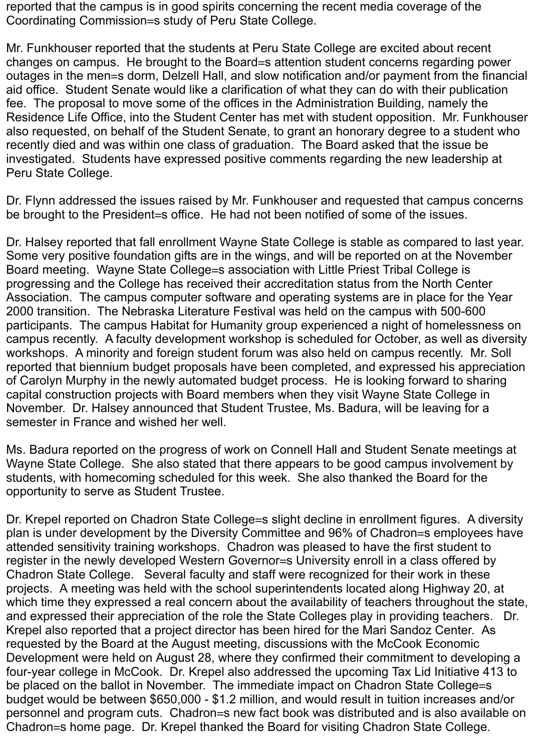reported that the campus is in good spirits concerning the recent media coverage of the Coordinating Commission=s study of Peru State College.

Mr. Funkhouser reported that the students at Peru State College are excited about recent changes on campus. He brought to the Board=s attention student concerns regarding power outages in the men=s dorm, Delzell Hall, and slow notification and/or payment from the financial aid office. Student Senate would like a clarification of what they can do with their publication fee. The proposal to move some of the offices in the Administration Building, namely the Residence Life Office, into the Student Center has met with student opposition. Mr. Funkhouser also requested, on behalf of the Student Senate, to grant an honorary degree to a student who recently died and was within one class of graduation. The Board asked that the issue be investigated. Students have expressed positive comments regarding the new leadership at Peru State College.

Dr. Flynn addressed the issues raised by Mr. Funkhouser and requested that campus concerns be brought to the President=s office. He had not been notified of some of the issues.

Dr. Halsey reported that fall enrollment Wayne State College is stable as compared to last year. Some very positive foundation gifts are in the wings, and will be reported on at the November Board meeting. Wayne State College=s association with Little Priest Tribal College is progressing and the College has received their accreditation status from the North Center Association. The campus computer software and operating systems are in place for the Year 2000 transition. The Nebraska Literature Festival was held on the campus with 500-600 participants. The campus Habitat for Humanity group experienced a night of homelessness on campus recently. A faculty development workshop is scheduled for October, as well as diversity workshops. A minority and foreign student forum was also held on campus recently. Mr. Soll reported that biennium budget proposals have been completed, and expressed his appreciation of Carolyn Murphy in the newly automated budget process. He is looking forward to sharing capital construction projects with Board members when they visit Wayne State College in November. Dr. Halsey announced that Student Trustee, Ms. Badura, will be leaving for a semester in France and wished her well.

Ms. Badura reported on the progress of work on Connell Hall and Student Senate meetings at Wayne State College. She also stated that there appears to be good campus involvement by students, with homecoming scheduled for this week. She also thanked the Board for the opportunity to serve as Student Trustee.

Dr. Krepel reported on Chadron State College=s slight decline in enrollment figures. A diversity plan is under development by the Diversity Committee and 96% of Chadron=s employees have attended sensitivity training workshops. Chadron was pleased to have the first student to register in the newly developed Western Governor=s University enroll in a class offered by Chadron State College. Several faculty and staff were recognized for their work in these projects. A meeting was held with the school superintendents located along Highway 20, at which time they expressed a real concern about the availability of teachers throughout the state, and expressed their appreciation of the role the State Colleges play in providing teachers. Dr. Krepel also reported that a project director has been hired for the Mari Sandoz Center. As requested by the Board at the August meeting, discussions with the McCook Economic Development were held on August 28, where they confirmed their commitment to developing a four-year college in McCook. Dr. Krepel also addressed the upcoming Tax Lid Initiative 413 to be placed on the ballot in November. The immediate impact on Chadron State College=s budget would be between \$650,000 - \$1.2 million, and would result in tuition increases and/or personnel and program cuts. Chadron=s new fact book was distributed and is also available on Chadron=s home page. Dr. Krepel thanked the Board for visiting Chadron State College.